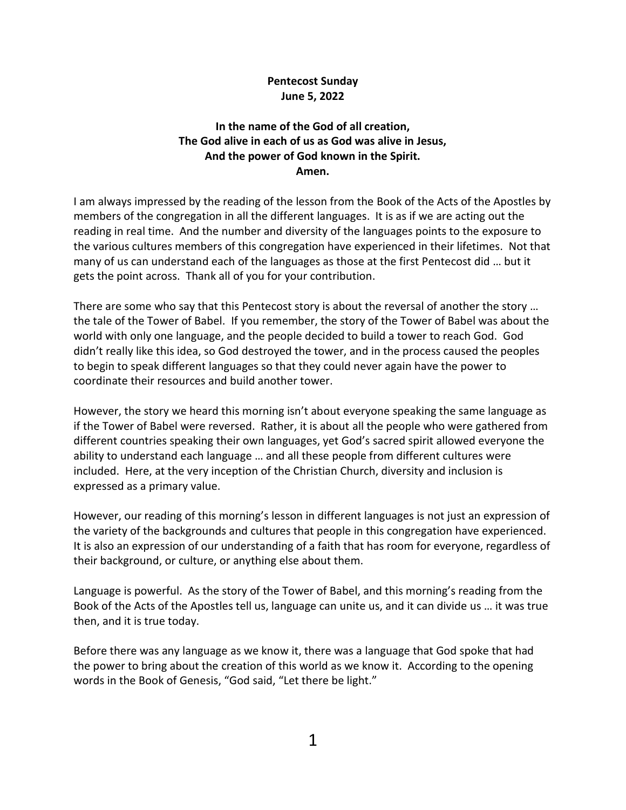## **Pentecost Sunday June 5, 2022**

## **In the name of the God of all creation, The God alive in each of us as God was alive in Jesus, And the power of God known in the Spirit. Amen.**

I am always impressed by the reading of the lesson from the Book of the Acts of the Apostles by members of the congregation in all the different languages. It is as if we are acting out the reading in real time. And the number and diversity of the languages points to the exposure to the various cultures members of this congregation have experienced in their lifetimes. Not that many of us can understand each of the languages as those at the first Pentecost did … but it gets the point across. Thank all of you for your contribution.

There are some who say that this Pentecost story is about the reversal of another the story … the tale of the Tower of Babel. If you remember, the story of the Tower of Babel was about the world with only one language, and the people decided to build a tower to reach God. God didn't really like this idea, so God destroyed the tower, and in the process caused the peoples to begin to speak different languages so that they could never again have the power to coordinate their resources and build another tower.

However, the story we heard this morning isn't about everyone speaking the same language as if the Tower of Babel were reversed. Rather, it is about all the people who were gathered from different countries speaking their own languages, yet God's sacred spirit allowed everyone the ability to understand each language … and all these people from different cultures were included. Here, at the very inception of the Christian Church, diversity and inclusion is expressed as a primary value.

However, our reading of this morning's lesson in different languages is not just an expression of the variety of the backgrounds and cultures that people in this congregation have experienced. It is also an expression of our understanding of a faith that has room for everyone, regardless of their background, or culture, or anything else about them.

Language is powerful. As the story of the Tower of Babel, and this morning's reading from the Book of the Acts of the Apostles tell us, language can unite us, and it can divide us … it was true then, and it is true today.

Before there was any language as we know it, there was a language that God spoke that had the power to bring about the creation of this world as we know it. According to the opening words in the Book of Genesis, "God said, "Let there be light."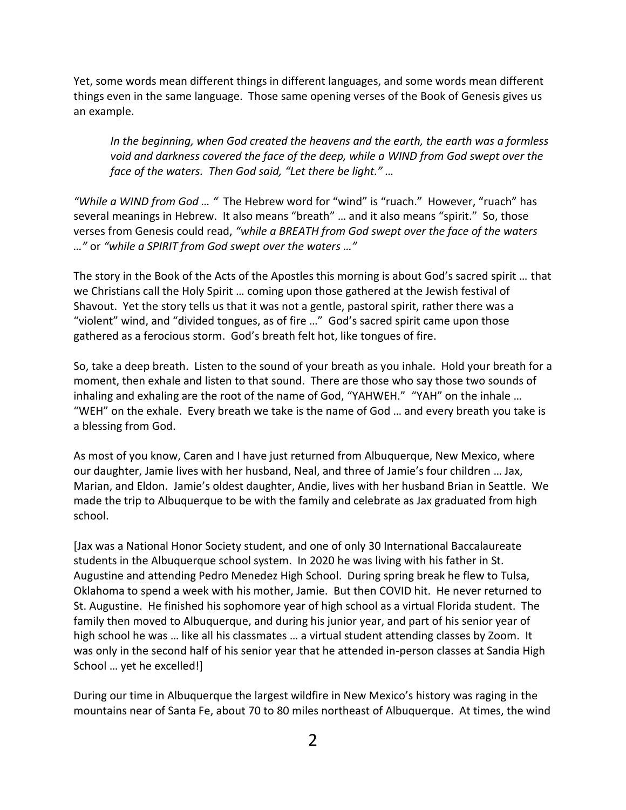Yet, some words mean different things in different languages, and some words mean different things even in the same language. Those same opening verses of the Book of Genesis gives us an example.

*In the beginning, when God created the heavens and the earth, the earth was a formless void and darkness covered the face of the deep, while a WIND from God swept over the face of the waters. Then God said, "Let there be light." …*

*"While a WIND from God … "* The Hebrew word for "wind" is "ruach." However, "ruach" has several meanings in Hebrew. It also means "breath" … and it also means "spirit." So, those verses from Genesis could read, *"while a BREATH from God swept over the face of the waters …"* or *"while a SPIRIT from God swept over the waters …"*

The story in the Book of the Acts of the Apostles this morning is about God's sacred spirit … that we Christians call the Holy Spirit … coming upon those gathered at the Jewish festival of Shavout. Yet the story tells us that it was not a gentle, pastoral spirit, rather there was a "violent" wind, and "divided tongues, as of fire …" God's sacred spirit came upon those gathered as a ferocious storm. God's breath felt hot, like tongues of fire.

So, take a deep breath. Listen to the sound of your breath as you inhale. Hold your breath for a moment, then exhale and listen to that sound. There are those who say those two sounds of inhaling and exhaling are the root of the name of God, "YAHWEH." "YAH" on the inhale … "WEH" on the exhale. Every breath we take is the name of God … and every breath you take is a blessing from God.

As most of you know, Caren and I have just returned from Albuquerque, New Mexico, where our daughter, Jamie lives with her husband, Neal, and three of Jamie's four children … Jax, Marian, and Eldon. Jamie's oldest daughter, Andie, lives with her husband Brian in Seattle. We made the trip to Albuquerque to be with the family and celebrate as Jax graduated from high school.

[Jax was a National Honor Society student, and one of only 30 International Baccalaureate students in the Albuquerque school system. In 2020 he was living with his father in St. Augustine and attending Pedro Menedez High School. During spring break he flew to Tulsa, Oklahoma to spend a week with his mother, Jamie. But then COVID hit. He never returned to St. Augustine. He finished his sophomore year of high school as a virtual Florida student. The family then moved to Albuquerque, and during his junior year, and part of his senior year of high school he was … like all his classmates … a virtual student attending classes by Zoom. It was only in the second half of his senior year that he attended in-person classes at Sandia High School … yet he excelled!]

During our time in Albuquerque the largest wildfire in New Mexico's history was raging in the mountains near of Santa Fe, about 70 to 80 miles northeast of Albuquerque. At times, the wind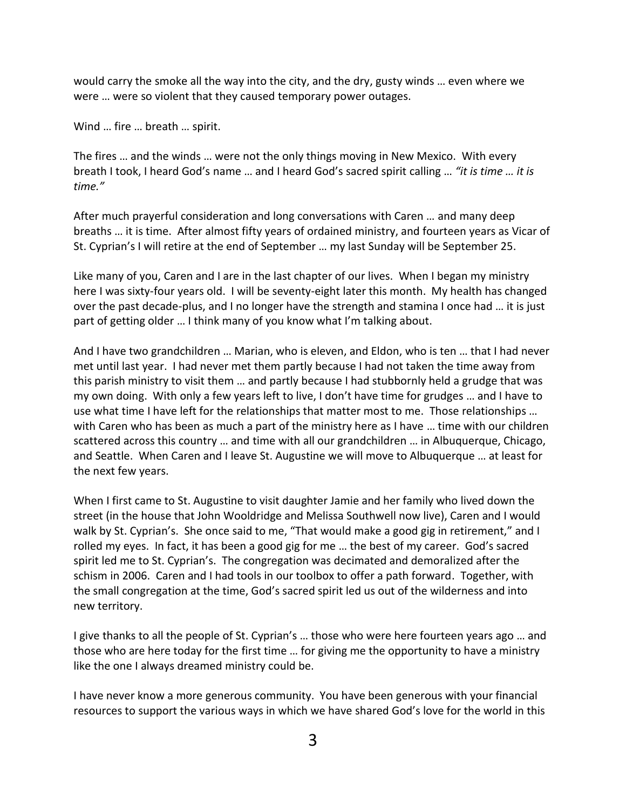would carry the smoke all the way into the city, and the dry, gusty winds … even where we were … were so violent that they caused temporary power outages.

Wind … fire … breath … spirit.

The fires … and the winds … were not the only things moving in New Mexico. With every breath I took, I heard God's name … and I heard God's sacred spirit calling … *"it is time … it is time."*

After much prayerful consideration and long conversations with Caren … and many deep breaths … it is time. After almost fifty years of ordained ministry, and fourteen years as Vicar of St. Cyprian's I will retire at the end of September … my last Sunday will be September 25.

Like many of you, Caren and I are in the last chapter of our lives. When I began my ministry here I was sixty-four years old. I will be seventy-eight later this month. My health has changed over the past decade-plus, and I no longer have the strength and stamina I once had … it is just part of getting older … I think many of you know what I'm talking about.

And I have two grandchildren … Marian, who is eleven, and Eldon, who is ten … that I had never met until last year. I had never met them partly because I had not taken the time away from this parish ministry to visit them … and partly because I had stubbornly held a grudge that was my own doing. With only a few years left to live, I don't have time for grudges … and I have to use what time I have left for the relationships that matter most to me. Those relationships … with Caren who has been as much a part of the ministry here as I have … time with our children scattered across this country … and time with all our grandchildren … in Albuquerque, Chicago, and Seattle. When Caren and I leave St. Augustine we will move to Albuquerque … at least for the next few years.

When I first came to St. Augustine to visit daughter Jamie and her family who lived down the street (in the house that John Wooldridge and Melissa Southwell now live), Caren and I would walk by St. Cyprian's. She once said to me, "That would make a good gig in retirement," and I rolled my eyes. In fact, it has been a good gig for me … the best of my career. God's sacred spirit led me to St. Cyprian's. The congregation was decimated and demoralized after the schism in 2006. Caren and I had tools in our toolbox to offer a path forward. Together, with the small congregation at the time, God's sacred spirit led us out of the wilderness and into new territory.

I give thanks to all the people of St. Cyprian's … those who were here fourteen years ago … and those who are here today for the first time … for giving me the opportunity to have a ministry like the one I always dreamed ministry could be.

I have never know a more generous community. You have been generous with your financial resources to support the various ways in which we have shared God's love for the world in this